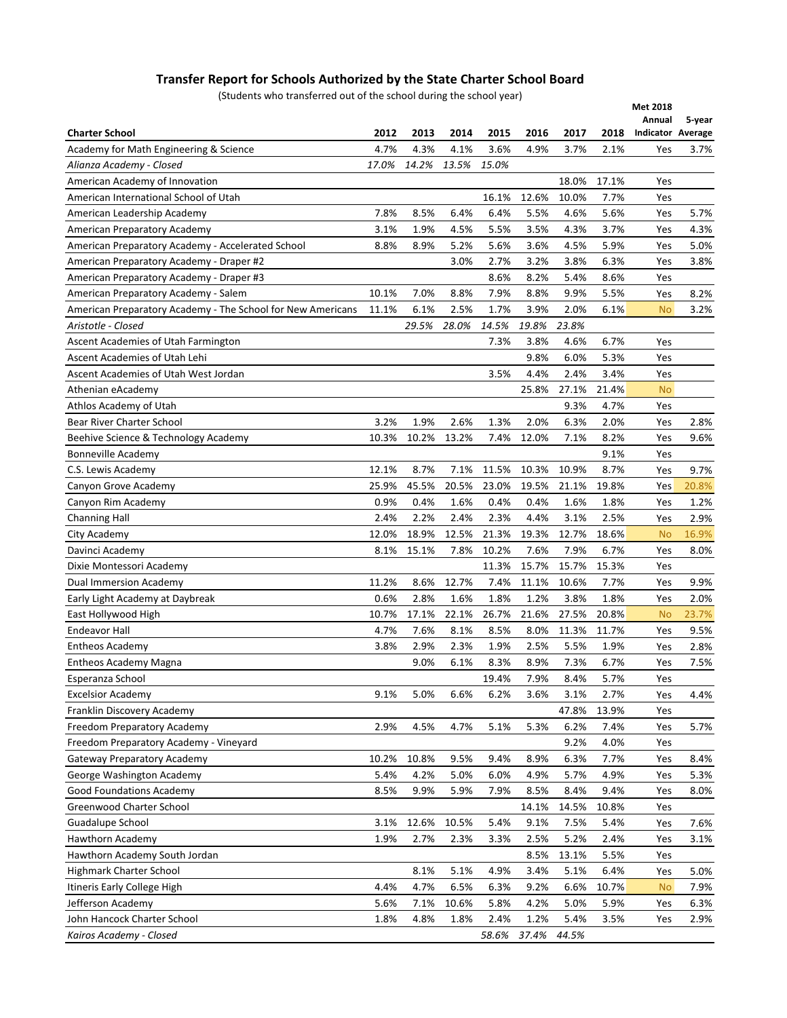## **Transfer Report for Schools Authorized by the State Charter School Board**

(Students who transferred out of the school during the school year)

| <b>Charter School</b><br>2012<br>2013<br>2014<br>2015<br>2016<br>2017<br>2018<br><b>Indicator Average</b><br>4.7%<br>4.3%<br>3.6%<br>Academy for Math Engineering & Science<br>4.1%<br>4.9%<br>3.7%<br>2.1%<br>Yes<br>3.7%<br>17.0%<br>14.2%<br>13.5%<br>15.0%<br>Alianza Academy - Closed<br>American Academy of Innovation<br>18.0%<br>17.1%<br>Yes<br>12.6%<br>10.0%<br>7.7%<br>American International School of Utah<br>16.1%<br>Yes<br>7.8%<br>8.5%<br>6.4%<br>6.4%<br>5.5%<br>5.6%<br>American Leadership Academy<br>4.6%<br>Yes<br>5.7%<br>1.9%<br>4.5%<br>5.5%<br>3.5%<br>3.7%<br>3.1%<br>4.3%<br>4.3%<br>American Preparatory Academy<br>Yes<br>5.2%<br>American Preparatory Academy - Accelerated School<br>8.8%<br>8.9%<br>5.6%<br>3.6%<br>4.5%<br>5.9%<br>5.0%<br>Yes<br>3.0%<br>2.7%<br>3.2%<br>3.8%<br>6.3%<br>American Preparatory Academy - Draper #2<br>3.8%<br>Yes<br>8.6%<br>8.2%<br>American Preparatory Academy - Draper #3<br>5.4%<br>8.6%<br>Yes<br>10.1%<br>7.9%<br>8.8%<br>5.5%<br>American Preparatory Academy - Salem<br>7.0%<br>8.8%<br>9.9%<br>Yes<br>8.2%<br>American Preparatory Academy - The School for New Americans<br>11.1%<br>6.1%<br>2.5%<br>1.7%<br>3.9%<br>2.0%<br>6.1%<br>3.2%<br><b>No</b><br>29.5%<br>28.0%<br>14.5%<br>19.8%<br>23.8%<br>Aristotle - Closed<br>Ascent Academies of Utah Farmington<br>7.3%<br>3.8%<br>4.6%<br>6.7%<br>Yes<br>9.8%<br>5.3%<br>Ascent Academies of Utah Lehi<br>6.0%<br>Yes<br>3.5%<br>4.4%<br>3.4%<br>Ascent Academies of Utah West Jordan<br>2.4%<br>Yes<br>25.8%<br>27.1%<br>21.4%<br><b>No</b><br>Athenian eAcademy<br>9.3%<br>4.7%<br>Athlos Academy of Utah<br>Yes<br>3.2%<br>1.9%<br>1.3%<br>2.0%<br>2.0%<br>Bear River Charter School<br>2.6%<br>6.3%<br>2.8%<br>Yes<br>Beehive Science & Technology Academy<br>10.3%<br>10.2%<br>13.2%<br>7.4%<br>12.0%<br>7.1%<br>8.2%<br>Yes<br>9.6%<br>Bonneville Academy<br>9.1%<br>Yes<br>12.1%<br>8.7%<br>11.5%<br>10.3%<br>8.7%<br>9.7%<br>C.S. Lewis Academy<br>7.1%<br>10.9%<br>Yes<br>25.9%<br>45.5%<br>20.5%<br>23.0%<br>19.5%<br>19.8%<br>Canyon Grove Academy<br>21.1%<br>20.8%<br>Yes<br>0.9%<br>0.4%<br>1.6%<br>0.4%<br>0.4%<br>Canyon Rim Academy<br>1.6%<br>1.8%<br>1.2%<br>Yes<br>2.4%<br>2.2%<br>2.4%<br>2.3%<br>4.4%<br>3.1%<br>2.5%<br>2.9%<br>Yes<br><b>Channing Hall</b><br>18.9%<br>12.5%<br>21.3%<br>19.3%<br>12.0%<br>12.7%<br>18.6%<br>City Academy<br>16.9%<br><b>No</b><br>7.8%<br>10.2%<br>7.6%<br>8.1%<br>15.1%<br>7.9%<br>6.7%<br>Yes<br>8.0%<br>Davinci Academy<br>11.3%<br>15.7%<br>15.7%<br>15.3%<br>Dixie Montessori Academy<br>Yes<br>11.2%<br>8.6%<br>12.7%<br>7.4%<br>11.1%<br>10.6%<br>7.7%<br>Dual Immersion Academy<br>Yes<br>9.9%<br>0.6%<br>2.8%<br>1.6%<br>1.8%<br>1.2%<br>3.8%<br>1.8%<br>Early Light Academy at Daybreak<br>Yes<br>2.0%<br>10.7%<br>17.1%<br>22.1%<br>26.7%<br>21.6%<br>27.5%<br>20.8%<br>East Hollywood High<br>23.7%<br><b>No</b><br>4.7%<br>7.6%<br>8.1%<br>8.5%<br>8.0%<br>Endeavor Hall<br>11.3%<br>11.7%<br>9.5%<br>Yes<br>2.9%<br>2.5%<br><b>Entheos Academy</b><br>3.8%<br>2.3%<br>1.9%<br>5.5%<br>1.9%<br>2.8%<br>Yes<br>9.0%<br>6.1%<br>8.9%<br>8.3%<br>7.3%<br>6.7%<br>7.5%<br><b>Entheos Academy Magna</b><br>Yes<br>Esperanza School<br>19.4%<br>7.9%<br>5.7%<br>8.4%<br>Yes<br><b>Excelsior Academy</b><br>9.1%<br>5.0%<br>6.6%<br>6.2%<br>3.6%<br>3.1%<br>2.7%<br>Yes<br>4.4%<br>Franklin Discovery Academy<br>47.8%<br>13.9%<br>Yes<br>2.9%<br>4.5%<br>4.7%<br>5.1%<br>6.2%<br>Freedom Preparatory Academy<br>5.3%<br>7.4%<br>5.7%<br>Yes<br>Freedom Preparatory Academy - Vineyard<br>9.2%<br>4.0%<br>Yes<br>8.9%<br>Gateway Preparatory Academy<br>10.2%<br>10.8%<br>9.5%<br>9.4%<br>6.3%<br>7.7%<br>8.4%<br>Yes<br>4.2%<br>5.0%<br>6.0%<br>4.9%<br>George Washington Academy<br>5.4%<br>5.7%<br>4.9%<br>Yes<br>5.3%<br>Good Foundations Academy<br>8.5%<br>9.9%<br>5.9%<br>8.5%<br>8.4%<br>9.4%<br>7.9%<br>Yes<br>8.0%<br>Greenwood Charter School<br>14.1%<br>14.5%<br>10.8%<br>Yes<br>Guadalupe School<br>12.6%<br>10.5%<br>5.4%<br>9.1%<br>7.5%<br>5.4%<br>7.6%<br>3.1%<br>Yes<br>Hawthorn Academy<br>1.9%<br>2.7%<br>2.3%<br>3.3%<br>2.5%<br>5.2%<br>2.4%<br>3.1%<br>Yes<br>Hawthorn Academy South Jordan<br>8.5%<br>13.1%<br>5.5%<br>Yes<br>5.0%<br>Highmark Charter School<br>8.1%<br>5.1%<br>4.9%<br>3.4%<br>5.1%<br>6.4%<br>Yes<br>Itineris Early College High<br>4.4%<br>4.7%<br>6.5%<br>9.2%<br>10.7%<br>6.3%<br>6.6%<br>7.9%<br><b>No</b><br>Jefferson Academy<br>5.6%<br>7.1%<br>10.6%<br>5.8%<br>4.2%<br>5.0%<br>5.9%<br>6.3%<br>Yes<br>John Hancock Charter School<br>4.8%<br>1.8%<br>2.4%<br>1.2%<br>5.4%<br>1.8%<br>3.5%<br>2.9%<br>Yes | proderits wild transferred out or the scribbi during the scribbi year) |  |       |       |       | Met 2018<br>Annual | 5-year |
|--------------------------------------------------------------------------------------------------------------------------------------------------------------------------------------------------------------------------------------------------------------------------------------------------------------------------------------------------------------------------------------------------------------------------------------------------------------------------------------------------------------------------------------------------------------------------------------------------------------------------------------------------------------------------------------------------------------------------------------------------------------------------------------------------------------------------------------------------------------------------------------------------------------------------------------------------------------------------------------------------------------------------------------------------------------------------------------------------------------------------------------------------------------------------------------------------------------------------------------------------------------------------------------------------------------------------------------------------------------------------------------------------------------------------------------------------------------------------------------------------------------------------------------------------------------------------------------------------------------------------------------------------------------------------------------------------------------------------------------------------------------------------------------------------------------------------------------------------------------------------------------------------------------------------------------------------------------------------------------------------------------------------------------------------------------------------------------------------------------------------------------------------------------------------------------------------------------------------------------------------------------------------------------------------------------------------------------------------------------------------------------------------------------------------------------------------------------------------------------------------------------------------------------------------------------------------------------------------------------------------------------------------------------------------------------------------------------------------------------------------------------------------------------------------------------------------------------------------------------------------------------------------------------------------------------------------------------------------------------------------------------------------------------------------------------------------------------------------------------------------------------------------------------------------------------------------------------------------------------------------------------------------------------------------------------------------------------------------------------------------------------------------------------------------------------------------------------------------------------------------------------------------------------------------------------------------------------------------------------------------------------------------------------------------------------------------------------------------------------------------------------------------------------------------------------------------------------------------------------------------------------------------------------------------------------------------------------------------------------------------------------------------------------------------------------------------------------------------------------------------------------------------------------------------------------------------------------------------------------------------------------------------------------------------------------------------------------------------------------------------------------------------------------------------------------------------------------------------------------------------------------------------------------------------------------------------------------------------------------------------------------------------------------|------------------------------------------------------------------------|--|-------|-------|-------|--------------------|--------|
|                                                                                                                                                                                                                                                                                                                                                                                                                                                                                                                                                                                                                                                                                                                                                                                                                                                                                                                                                                                                                                                                                                                                                                                                                                                                                                                                                                                                                                                                                                                                                                                                                                                                                                                                                                                                                                                                                                                                                                                                                                                                                                                                                                                                                                                                                                                                                                                                                                                                                                                                                                                                                                                                                                                                                                                                                                                                                                                                                                                                                                                                                                                                                                                                                                                                                                                                                                                                                                                                                                                                                                                                                                                                                                                                                                                                                                                                                                                                                                                                                                                                                                                                                                                                                                                                                                                                                                                                                                                                                                                                                                                                                                                              |                                                                        |  |       |       |       |                    |        |
|                                                                                                                                                                                                                                                                                                                                                                                                                                                                                                                                                                                                                                                                                                                                                                                                                                                                                                                                                                                                                                                                                                                                                                                                                                                                                                                                                                                                                                                                                                                                                                                                                                                                                                                                                                                                                                                                                                                                                                                                                                                                                                                                                                                                                                                                                                                                                                                                                                                                                                                                                                                                                                                                                                                                                                                                                                                                                                                                                                                                                                                                                                                                                                                                                                                                                                                                                                                                                                                                                                                                                                                                                                                                                                                                                                                                                                                                                                                                                                                                                                                                                                                                                                                                                                                                                                                                                                                                                                                                                                                                                                                                                                                              |                                                                        |  |       |       |       |                    |        |
|                                                                                                                                                                                                                                                                                                                                                                                                                                                                                                                                                                                                                                                                                                                                                                                                                                                                                                                                                                                                                                                                                                                                                                                                                                                                                                                                                                                                                                                                                                                                                                                                                                                                                                                                                                                                                                                                                                                                                                                                                                                                                                                                                                                                                                                                                                                                                                                                                                                                                                                                                                                                                                                                                                                                                                                                                                                                                                                                                                                                                                                                                                                                                                                                                                                                                                                                                                                                                                                                                                                                                                                                                                                                                                                                                                                                                                                                                                                                                                                                                                                                                                                                                                                                                                                                                                                                                                                                                                                                                                                                                                                                                                                              |                                                                        |  |       |       |       |                    |        |
|                                                                                                                                                                                                                                                                                                                                                                                                                                                                                                                                                                                                                                                                                                                                                                                                                                                                                                                                                                                                                                                                                                                                                                                                                                                                                                                                                                                                                                                                                                                                                                                                                                                                                                                                                                                                                                                                                                                                                                                                                                                                                                                                                                                                                                                                                                                                                                                                                                                                                                                                                                                                                                                                                                                                                                                                                                                                                                                                                                                                                                                                                                                                                                                                                                                                                                                                                                                                                                                                                                                                                                                                                                                                                                                                                                                                                                                                                                                                                                                                                                                                                                                                                                                                                                                                                                                                                                                                                                                                                                                                                                                                                                                              |                                                                        |  |       |       |       |                    |        |
|                                                                                                                                                                                                                                                                                                                                                                                                                                                                                                                                                                                                                                                                                                                                                                                                                                                                                                                                                                                                                                                                                                                                                                                                                                                                                                                                                                                                                                                                                                                                                                                                                                                                                                                                                                                                                                                                                                                                                                                                                                                                                                                                                                                                                                                                                                                                                                                                                                                                                                                                                                                                                                                                                                                                                                                                                                                                                                                                                                                                                                                                                                                                                                                                                                                                                                                                                                                                                                                                                                                                                                                                                                                                                                                                                                                                                                                                                                                                                                                                                                                                                                                                                                                                                                                                                                                                                                                                                                                                                                                                                                                                                                                              |                                                                        |  |       |       |       |                    |        |
|                                                                                                                                                                                                                                                                                                                                                                                                                                                                                                                                                                                                                                                                                                                                                                                                                                                                                                                                                                                                                                                                                                                                                                                                                                                                                                                                                                                                                                                                                                                                                                                                                                                                                                                                                                                                                                                                                                                                                                                                                                                                                                                                                                                                                                                                                                                                                                                                                                                                                                                                                                                                                                                                                                                                                                                                                                                                                                                                                                                                                                                                                                                                                                                                                                                                                                                                                                                                                                                                                                                                                                                                                                                                                                                                                                                                                                                                                                                                                                                                                                                                                                                                                                                                                                                                                                                                                                                                                                                                                                                                                                                                                                                              |                                                                        |  |       |       |       |                    |        |
|                                                                                                                                                                                                                                                                                                                                                                                                                                                                                                                                                                                                                                                                                                                                                                                                                                                                                                                                                                                                                                                                                                                                                                                                                                                                                                                                                                                                                                                                                                                                                                                                                                                                                                                                                                                                                                                                                                                                                                                                                                                                                                                                                                                                                                                                                                                                                                                                                                                                                                                                                                                                                                                                                                                                                                                                                                                                                                                                                                                                                                                                                                                                                                                                                                                                                                                                                                                                                                                                                                                                                                                                                                                                                                                                                                                                                                                                                                                                                                                                                                                                                                                                                                                                                                                                                                                                                                                                                                                                                                                                                                                                                                                              |                                                                        |  |       |       |       |                    |        |
|                                                                                                                                                                                                                                                                                                                                                                                                                                                                                                                                                                                                                                                                                                                                                                                                                                                                                                                                                                                                                                                                                                                                                                                                                                                                                                                                                                                                                                                                                                                                                                                                                                                                                                                                                                                                                                                                                                                                                                                                                                                                                                                                                                                                                                                                                                                                                                                                                                                                                                                                                                                                                                                                                                                                                                                                                                                                                                                                                                                                                                                                                                                                                                                                                                                                                                                                                                                                                                                                                                                                                                                                                                                                                                                                                                                                                                                                                                                                                                                                                                                                                                                                                                                                                                                                                                                                                                                                                                                                                                                                                                                                                                                              |                                                                        |  |       |       |       |                    |        |
|                                                                                                                                                                                                                                                                                                                                                                                                                                                                                                                                                                                                                                                                                                                                                                                                                                                                                                                                                                                                                                                                                                                                                                                                                                                                                                                                                                                                                                                                                                                                                                                                                                                                                                                                                                                                                                                                                                                                                                                                                                                                                                                                                                                                                                                                                                                                                                                                                                                                                                                                                                                                                                                                                                                                                                                                                                                                                                                                                                                                                                                                                                                                                                                                                                                                                                                                                                                                                                                                                                                                                                                                                                                                                                                                                                                                                                                                                                                                                                                                                                                                                                                                                                                                                                                                                                                                                                                                                                                                                                                                                                                                                                                              |                                                                        |  |       |       |       |                    |        |
|                                                                                                                                                                                                                                                                                                                                                                                                                                                                                                                                                                                                                                                                                                                                                                                                                                                                                                                                                                                                                                                                                                                                                                                                                                                                                                                                                                                                                                                                                                                                                                                                                                                                                                                                                                                                                                                                                                                                                                                                                                                                                                                                                                                                                                                                                                                                                                                                                                                                                                                                                                                                                                                                                                                                                                                                                                                                                                                                                                                                                                                                                                                                                                                                                                                                                                                                                                                                                                                                                                                                                                                                                                                                                                                                                                                                                                                                                                                                                                                                                                                                                                                                                                                                                                                                                                                                                                                                                                                                                                                                                                                                                                                              |                                                                        |  |       |       |       |                    |        |
|                                                                                                                                                                                                                                                                                                                                                                                                                                                                                                                                                                                                                                                                                                                                                                                                                                                                                                                                                                                                                                                                                                                                                                                                                                                                                                                                                                                                                                                                                                                                                                                                                                                                                                                                                                                                                                                                                                                                                                                                                                                                                                                                                                                                                                                                                                                                                                                                                                                                                                                                                                                                                                                                                                                                                                                                                                                                                                                                                                                                                                                                                                                                                                                                                                                                                                                                                                                                                                                                                                                                                                                                                                                                                                                                                                                                                                                                                                                                                                                                                                                                                                                                                                                                                                                                                                                                                                                                                                                                                                                                                                                                                                                              |                                                                        |  |       |       |       |                    |        |
|                                                                                                                                                                                                                                                                                                                                                                                                                                                                                                                                                                                                                                                                                                                                                                                                                                                                                                                                                                                                                                                                                                                                                                                                                                                                                                                                                                                                                                                                                                                                                                                                                                                                                                                                                                                                                                                                                                                                                                                                                                                                                                                                                                                                                                                                                                                                                                                                                                                                                                                                                                                                                                                                                                                                                                                                                                                                                                                                                                                                                                                                                                                                                                                                                                                                                                                                                                                                                                                                                                                                                                                                                                                                                                                                                                                                                                                                                                                                                                                                                                                                                                                                                                                                                                                                                                                                                                                                                                                                                                                                                                                                                                                              |                                                                        |  |       |       |       |                    |        |
|                                                                                                                                                                                                                                                                                                                                                                                                                                                                                                                                                                                                                                                                                                                                                                                                                                                                                                                                                                                                                                                                                                                                                                                                                                                                                                                                                                                                                                                                                                                                                                                                                                                                                                                                                                                                                                                                                                                                                                                                                                                                                                                                                                                                                                                                                                                                                                                                                                                                                                                                                                                                                                                                                                                                                                                                                                                                                                                                                                                                                                                                                                                                                                                                                                                                                                                                                                                                                                                                                                                                                                                                                                                                                                                                                                                                                                                                                                                                                                                                                                                                                                                                                                                                                                                                                                                                                                                                                                                                                                                                                                                                                                                              |                                                                        |  |       |       |       |                    |        |
|                                                                                                                                                                                                                                                                                                                                                                                                                                                                                                                                                                                                                                                                                                                                                                                                                                                                                                                                                                                                                                                                                                                                                                                                                                                                                                                                                                                                                                                                                                                                                                                                                                                                                                                                                                                                                                                                                                                                                                                                                                                                                                                                                                                                                                                                                                                                                                                                                                                                                                                                                                                                                                                                                                                                                                                                                                                                                                                                                                                                                                                                                                                                                                                                                                                                                                                                                                                                                                                                                                                                                                                                                                                                                                                                                                                                                                                                                                                                                                                                                                                                                                                                                                                                                                                                                                                                                                                                                                                                                                                                                                                                                                                              |                                                                        |  |       |       |       |                    |        |
|                                                                                                                                                                                                                                                                                                                                                                                                                                                                                                                                                                                                                                                                                                                                                                                                                                                                                                                                                                                                                                                                                                                                                                                                                                                                                                                                                                                                                                                                                                                                                                                                                                                                                                                                                                                                                                                                                                                                                                                                                                                                                                                                                                                                                                                                                                                                                                                                                                                                                                                                                                                                                                                                                                                                                                                                                                                                                                                                                                                                                                                                                                                                                                                                                                                                                                                                                                                                                                                                                                                                                                                                                                                                                                                                                                                                                                                                                                                                                                                                                                                                                                                                                                                                                                                                                                                                                                                                                                                                                                                                                                                                                                                              |                                                                        |  |       |       |       |                    |        |
|                                                                                                                                                                                                                                                                                                                                                                                                                                                                                                                                                                                                                                                                                                                                                                                                                                                                                                                                                                                                                                                                                                                                                                                                                                                                                                                                                                                                                                                                                                                                                                                                                                                                                                                                                                                                                                                                                                                                                                                                                                                                                                                                                                                                                                                                                                                                                                                                                                                                                                                                                                                                                                                                                                                                                                                                                                                                                                                                                                                                                                                                                                                                                                                                                                                                                                                                                                                                                                                                                                                                                                                                                                                                                                                                                                                                                                                                                                                                                                                                                                                                                                                                                                                                                                                                                                                                                                                                                                                                                                                                                                                                                                                              |                                                                        |  |       |       |       |                    |        |
|                                                                                                                                                                                                                                                                                                                                                                                                                                                                                                                                                                                                                                                                                                                                                                                                                                                                                                                                                                                                                                                                                                                                                                                                                                                                                                                                                                                                                                                                                                                                                                                                                                                                                                                                                                                                                                                                                                                                                                                                                                                                                                                                                                                                                                                                                                                                                                                                                                                                                                                                                                                                                                                                                                                                                                                                                                                                                                                                                                                                                                                                                                                                                                                                                                                                                                                                                                                                                                                                                                                                                                                                                                                                                                                                                                                                                                                                                                                                                                                                                                                                                                                                                                                                                                                                                                                                                                                                                                                                                                                                                                                                                                                              |                                                                        |  |       |       |       |                    |        |
|                                                                                                                                                                                                                                                                                                                                                                                                                                                                                                                                                                                                                                                                                                                                                                                                                                                                                                                                                                                                                                                                                                                                                                                                                                                                                                                                                                                                                                                                                                                                                                                                                                                                                                                                                                                                                                                                                                                                                                                                                                                                                                                                                                                                                                                                                                                                                                                                                                                                                                                                                                                                                                                                                                                                                                                                                                                                                                                                                                                                                                                                                                                                                                                                                                                                                                                                                                                                                                                                                                                                                                                                                                                                                                                                                                                                                                                                                                                                                                                                                                                                                                                                                                                                                                                                                                                                                                                                                                                                                                                                                                                                                                                              |                                                                        |  |       |       |       |                    |        |
|                                                                                                                                                                                                                                                                                                                                                                                                                                                                                                                                                                                                                                                                                                                                                                                                                                                                                                                                                                                                                                                                                                                                                                                                                                                                                                                                                                                                                                                                                                                                                                                                                                                                                                                                                                                                                                                                                                                                                                                                                                                                                                                                                                                                                                                                                                                                                                                                                                                                                                                                                                                                                                                                                                                                                                                                                                                                                                                                                                                                                                                                                                                                                                                                                                                                                                                                                                                                                                                                                                                                                                                                                                                                                                                                                                                                                                                                                                                                                                                                                                                                                                                                                                                                                                                                                                                                                                                                                                                                                                                                                                                                                                                              |                                                                        |  |       |       |       |                    |        |
|                                                                                                                                                                                                                                                                                                                                                                                                                                                                                                                                                                                                                                                                                                                                                                                                                                                                                                                                                                                                                                                                                                                                                                                                                                                                                                                                                                                                                                                                                                                                                                                                                                                                                                                                                                                                                                                                                                                                                                                                                                                                                                                                                                                                                                                                                                                                                                                                                                                                                                                                                                                                                                                                                                                                                                                                                                                                                                                                                                                                                                                                                                                                                                                                                                                                                                                                                                                                                                                                                                                                                                                                                                                                                                                                                                                                                                                                                                                                                                                                                                                                                                                                                                                                                                                                                                                                                                                                                                                                                                                                                                                                                                                              |                                                                        |  |       |       |       |                    |        |
|                                                                                                                                                                                                                                                                                                                                                                                                                                                                                                                                                                                                                                                                                                                                                                                                                                                                                                                                                                                                                                                                                                                                                                                                                                                                                                                                                                                                                                                                                                                                                                                                                                                                                                                                                                                                                                                                                                                                                                                                                                                                                                                                                                                                                                                                                                                                                                                                                                                                                                                                                                                                                                                                                                                                                                                                                                                                                                                                                                                                                                                                                                                                                                                                                                                                                                                                                                                                                                                                                                                                                                                                                                                                                                                                                                                                                                                                                                                                                                                                                                                                                                                                                                                                                                                                                                                                                                                                                                                                                                                                                                                                                                                              |                                                                        |  |       |       |       |                    |        |
|                                                                                                                                                                                                                                                                                                                                                                                                                                                                                                                                                                                                                                                                                                                                                                                                                                                                                                                                                                                                                                                                                                                                                                                                                                                                                                                                                                                                                                                                                                                                                                                                                                                                                                                                                                                                                                                                                                                                                                                                                                                                                                                                                                                                                                                                                                                                                                                                                                                                                                                                                                                                                                                                                                                                                                                                                                                                                                                                                                                                                                                                                                                                                                                                                                                                                                                                                                                                                                                                                                                                                                                                                                                                                                                                                                                                                                                                                                                                                                                                                                                                                                                                                                                                                                                                                                                                                                                                                                                                                                                                                                                                                                                              |                                                                        |  |       |       |       |                    |        |
|                                                                                                                                                                                                                                                                                                                                                                                                                                                                                                                                                                                                                                                                                                                                                                                                                                                                                                                                                                                                                                                                                                                                                                                                                                                                                                                                                                                                                                                                                                                                                                                                                                                                                                                                                                                                                                                                                                                                                                                                                                                                                                                                                                                                                                                                                                                                                                                                                                                                                                                                                                                                                                                                                                                                                                                                                                                                                                                                                                                                                                                                                                                                                                                                                                                                                                                                                                                                                                                                                                                                                                                                                                                                                                                                                                                                                                                                                                                                                                                                                                                                                                                                                                                                                                                                                                                                                                                                                                                                                                                                                                                                                                                              |                                                                        |  |       |       |       |                    |        |
|                                                                                                                                                                                                                                                                                                                                                                                                                                                                                                                                                                                                                                                                                                                                                                                                                                                                                                                                                                                                                                                                                                                                                                                                                                                                                                                                                                                                                                                                                                                                                                                                                                                                                                                                                                                                                                                                                                                                                                                                                                                                                                                                                                                                                                                                                                                                                                                                                                                                                                                                                                                                                                                                                                                                                                                                                                                                                                                                                                                                                                                                                                                                                                                                                                                                                                                                                                                                                                                                                                                                                                                                                                                                                                                                                                                                                                                                                                                                                                                                                                                                                                                                                                                                                                                                                                                                                                                                                                                                                                                                                                                                                                                              |                                                                        |  |       |       |       |                    |        |
|                                                                                                                                                                                                                                                                                                                                                                                                                                                                                                                                                                                                                                                                                                                                                                                                                                                                                                                                                                                                                                                                                                                                                                                                                                                                                                                                                                                                                                                                                                                                                                                                                                                                                                                                                                                                                                                                                                                                                                                                                                                                                                                                                                                                                                                                                                                                                                                                                                                                                                                                                                                                                                                                                                                                                                                                                                                                                                                                                                                                                                                                                                                                                                                                                                                                                                                                                                                                                                                                                                                                                                                                                                                                                                                                                                                                                                                                                                                                                                                                                                                                                                                                                                                                                                                                                                                                                                                                                                                                                                                                                                                                                                                              |                                                                        |  |       |       |       |                    |        |
|                                                                                                                                                                                                                                                                                                                                                                                                                                                                                                                                                                                                                                                                                                                                                                                                                                                                                                                                                                                                                                                                                                                                                                                                                                                                                                                                                                                                                                                                                                                                                                                                                                                                                                                                                                                                                                                                                                                                                                                                                                                                                                                                                                                                                                                                                                                                                                                                                                                                                                                                                                                                                                                                                                                                                                                                                                                                                                                                                                                                                                                                                                                                                                                                                                                                                                                                                                                                                                                                                                                                                                                                                                                                                                                                                                                                                                                                                                                                                                                                                                                                                                                                                                                                                                                                                                                                                                                                                                                                                                                                                                                                                                                              |                                                                        |  |       |       |       |                    |        |
|                                                                                                                                                                                                                                                                                                                                                                                                                                                                                                                                                                                                                                                                                                                                                                                                                                                                                                                                                                                                                                                                                                                                                                                                                                                                                                                                                                                                                                                                                                                                                                                                                                                                                                                                                                                                                                                                                                                                                                                                                                                                                                                                                                                                                                                                                                                                                                                                                                                                                                                                                                                                                                                                                                                                                                                                                                                                                                                                                                                                                                                                                                                                                                                                                                                                                                                                                                                                                                                                                                                                                                                                                                                                                                                                                                                                                                                                                                                                                                                                                                                                                                                                                                                                                                                                                                                                                                                                                                                                                                                                                                                                                                                              |                                                                        |  |       |       |       |                    |        |
|                                                                                                                                                                                                                                                                                                                                                                                                                                                                                                                                                                                                                                                                                                                                                                                                                                                                                                                                                                                                                                                                                                                                                                                                                                                                                                                                                                                                                                                                                                                                                                                                                                                                                                                                                                                                                                                                                                                                                                                                                                                                                                                                                                                                                                                                                                                                                                                                                                                                                                                                                                                                                                                                                                                                                                                                                                                                                                                                                                                                                                                                                                                                                                                                                                                                                                                                                                                                                                                                                                                                                                                                                                                                                                                                                                                                                                                                                                                                                                                                                                                                                                                                                                                                                                                                                                                                                                                                                                                                                                                                                                                                                                                              |                                                                        |  |       |       |       |                    |        |
|                                                                                                                                                                                                                                                                                                                                                                                                                                                                                                                                                                                                                                                                                                                                                                                                                                                                                                                                                                                                                                                                                                                                                                                                                                                                                                                                                                                                                                                                                                                                                                                                                                                                                                                                                                                                                                                                                                                                                                                                                                                                                                                                                                                                                                                                                                                                                                                                                                                                                                                                                                                                                                                                                                                                                                                                                                                                                                                                                                                                                                                                                                                                                                                                                                                                                                                                                                                                                                                                                                                                                                                                                                                                                                                                                                                                                                                                                                                                                                                                                                                                                                                                                                                                                                                                                                                                                                                                                                                                                                                                                                                                                                                              |                                                                        |  |       |       |       |                    |        |
|                                                                                                                                                                                                                                                                                                                                                                                                                                                                                                                                                                                                                                                                                                                                                                                                                                                                                                                                                                                                                                                                                                                                                                                                                                                                                                                                                                                                                                                                                                                                                                                                                                                                                                                                                                                                                                                                                                                                                                                                                                                                                                                                                                                                                                                                                                                                                                                                                                                                                                                                                                                                                                                                                                                                                                                                                                                                                                                                                                                                                                                                                                                                                                                                                                                                                                                                                                                                                                                                                                                                                                                                                                                                                                                                                                                                                                                                                                                                                                                                                                                                                                                                                                                                                                                                                                                                                                                                                                                                                                                                                                                                                                                              |                                                                        |  |       |       |       |                    |        |
|                                                                                                                                                                                                                                                                                                                                                                                                                                                                                                                                                                                                                                                                                                                                                                                                                                                                                                                                                                                                                                                                                                                                                                                                                                                                                                                                                                                                                                                                                                                                                                                                                                                                                                                                                                                                                                                                                                                                                                                                                                                                                                                                                                                                                                                                                                                                                                                                                                                                                                                                                                                                                                                                                                                                                                                                                                                                                                                                                                                                                                                                                                                                                                                                                                                                                                                                                                                                                                                                                                                                                                                                                                                                                                                                                                                                                                                                                                                                                                                                                                                                                                                                                                                                                                                                                                                                                                                                                                                                                                                                                                                                                                                              |                                                                        |  |       |       |       |                    |        |
|                                                                                                                                                                                                                                                                                                                                                                                                                                                                                                                                                                                                                                                                                                                                                                                                                                                                                                                                                                                                                                                                                                                                                                                                                                                                                                                                                                                                                                                                                                                                                                                                                                                                                                                                                                                                                                                                                                                                                                                                                                                                                                                                                                                                                                                                                                                                                                                                                                                                                                                                                                                                                                                                                                                                                                                                                                                                                                                                                                                                                                                                                                                                                                                                                                                                                                                                                                                                                                                                                                                                                                                                                                                                                                                                                                                                                                                                                                                                                                                                                                                                                                                                                                                                                                                                                                                                                                                                                                                                                                                                                                                                                                                              |                                                                        |  |       |       |       |                    |        |
|                                                                                                                                                                                                                                                                                                                                                                                                                                                                                                                                                                                                                                                                                                                                                                                                                                                                                                                                                                                                                                                                                                                                                                                                                                                                                                                                                                                                                                                                                                                                                                                                                                                                                                                                                                                                                                                                                                                                                                                                                                                                                                                                                                                                                                                                                                                                                                                                                                                                                                                                                                                                                                                                                                                                                                                                                                                                                                                                                                                                                                                                                                                                                                                                                                                                                                                                                                                                                                                                                                                                                                                                                                                                                                                                                                                                                                                                                                                                                                                                                                                                                                                                                                                                                                                                                                                                                                                                                                                                                                                                                                                                                                                              |                                                                        |  |       |       |       |                    |        |
|                                                                                                                                                                                                                                                                                                                                                                                                                                                                                                                                                                                                                                                                                                                                                                                                                                                                                                                                                                                                                                                                                                                                                                                                                                                                                                                                                                                                                                                                                                                                                                                                                                                                                                                                                                                                                                                                                                                                                                                                                                                                                                                                                                                                                                                                                                                                                                                                                                                                                                                                                                                                                                                                                                                                                                                                                                                                                                                                                                                                                                                                                                                                                                                                                                                                                                                                                                                                                                                                                                                                                                                                                                                                                                                                                                                                                                                                                                                                                                                                                                                                                                                                                                                                                                                                                                                                                                                                                                                                                                                                                                                                                                                              |                                                                        |  |       |       |       |                    |        |
|                                                                                                                                                                                                                                                                                                                                                                                                                                                                                                                                                                                                                                                                                                                                                                                                                                                                                                                                                                                                                                                                                                                                                                                                                                                                                                                                                                                                                                                                                                                                                                                                                                                                                                                                                                                                                                                                                                                                                                                                                                                                                                                                                                                                                                                                                                                                                                                                                                                                                                                                                                                                                                                                                                                                                                                                                                                                                                                                                                                                                                                                                                                                                                                                                                                                                                                                                                                                                                                                                                                                                                                                                                                                                                                                                                                                                                                                                                                                                                                                                                                                                                                                                                                                                                                                                                                                                                                                                                                                                                                                                                                                                                                              |                                                                        |  |       |       |       |                    |        |
|                                                                                                                                                                                                                                                                                                                                                                                                                                                                                                                                                                                                                                                                                                                                                                                                                                                                                                                                                                                                                                                                                                                                                                                                                                                                                                                                                                                                                                                                                                                                                                                                                                                                                                                                                                                                                                                                                                                                                                                                                                                                                                                                                                                                                                                                                                                                                                                                                                                                                                                                                                                                                                                                                                                                                                                                                                                                                                                                                                                                                                                                                                                                                                                                                                                                                                                                                                                                                                                                                                                                                                                                                                                                                                                                                                                                                                                                                                                                                                                                                                                                                                                                                                                                                                                                                                                                                                                                                                                                                                                                                                                                                                                              |                                                                        |  |       |       |       |                    |        |
|                                                                                                                                                                                                                                                                                                                                                                                                                                                                                                                                                                                                                                                                                                                                                                                                                                                                                                                                                                                                                                                                                                                                                                                                                                                                                                                                                                                                                                                                                                                                                                                                                                                                                                                                                                                                                                                                                                                                                                                                                                                                                                                                                                                                                                                                                                                                                                                                                                                                                                                                                                                                                                                                                                                                                                                                                                                                                                                                                                                                                                                                                                                                                                                                                                                                                                                                                                                                                                                                                                                                                                                                                                                                                                                                                                                                                                                                                                                                                                                                                                                                                                                                                                                                                                                                                                                                                                                                                                                                                                                                                                                                                                                              |                                                                        |  |       |       |       |                    |        |
|                                                                                                                                                                                                                                                                                                                                                                                                                                                                                                                                                                                                                                                                                                                                                                                                                                                                                                                                                                                                                                                                                                                                                                                                                                                                                                                                                                                                                                                                                                                                                                                                                                                                                                                                                                                                                                                                                                                                                                                                                                                                                                                                                                                                                                                                                                                                                                                                                                                                                                                                                                                                                                                                                                                                                                                                                                                                                                                                                                                                                                                                                                                                                                                                                                                                                                                                                                                                                                                                                                                                                                                                                                                                                                                                                                                                                                                                                                                                                                                                                                                                                                                                                                                                                                                                                                                                                                                                                                                                                                                                                                                                                                                              |                                                                        |  |       |       |       |                    |        |
|                                                                                                                                                                                                                                                                                                                                                                                                                                                                                                                                                                                                                                                                                                                                                                                                                                                                                                                                                                                                                                                                                                                                                                                                                                                                                                                                                                                                                                                                                                                                                                                                                                                                                                                                                                                                                                                                                                                                                                                                                                                                                                                                                                                                                                                                                                                                                                                                                                                                                                                                                                                                                                                                                                                                                                                                                                                                                                                                                                                                                                                                                                                                                                                                                                                                                                                                                                                                                                                                                                                                                                                                                                                                                                                                                                                                                                                                                                                                                                                                                                                                                                                                                                                                                                                                                                                                                                                                                                                                                                                                                                                                                                                              |                                                                        |  |       |       |       |                    |        |
|                                                                                                                                                                                                                                                                                                                                                                                                                                                                                                                                                                                                                                                                                                                                                                                                                                                                                                                                                                                                                                                                                                                                                                                                                                                                                                                                                                                                                                                                                                                                                                                                                                                                                                                                                                                                                                                                                                                                                                                                                                                                                                                                                                                                                                                                                                                                                                                                                                                                                                                                                                                                                                                                                                                                                                                                                                                                                                                                                                                                                                                                                                                                                                                                                                                                                                                                                                                                                                                                                                                                                                                                                                                                                                                                                                                                                                                                                                                                                                                                                                                                                                                                                                                                                                                                                                                                                                                                                                                                                                                                                                                                                                                              |                                                                        |  |       |       |       |                    |        |
|                                                                                                                                                                                                                                                                                                                                                                                                                                                                                                                                                                                                                                                                                                                                                                                                                                                                                                                                                                                                                                                                                                                                                                                                                                                                                                                                                                                                                                                                                                                                                                                                                                                                                                                                                                                                                                                                                                                                                                                                                                                                                                                                                                                                                                                                                                                                                                                                                                                                                                                                                                                                                                                                                                                                                                                                                                                                                                                                                                                                                                                                                                                                                                                                                                                                                                                                                                                                                                                                                                                                                                                                                                                                                                                                                                                                                                                                                                                                                                                                                                                                                                                                                                                                                                                                                                                                                                                                                                                                                                                                                                                                                                                              |                                                                        |  |       |       |       |                    |        |
|                                                                                                                                                                                                                                                                                                                                                                                                                                                                                                                                                                                                                                                                                                                                                                                                                                                                                                                                                                                                                                                                                                                                                                                                                                                                                                                                                                                                                                                                                                                                                                                                                                                                                                                                                                                                                                                                                                                                                                                                                                                                                                                                                                                                                                                                                                                                                                                                                                                                                                                                                                                                                                                                                                                                                                                                                                                                                                                                                                                                                                                                                                                                                                                                                                                                                                                                                                                                                                                                                                                                                                                                                                                                                                                                                                                                                                                                                                                                                                                                                                                                                                                                                                                                                                                                                                                                                                                                                                                                                                                                                                                                                                                              |                                                                        |  |       |       |       |                    |        |
|                                                                                                                                                                                                                                                                                                                                                                                                                                                                                                                                                                                                                                                                                                                                                                                                                                                                                                                                                                                                                                                                                                                                                                                                                                                                                                                                                                                                                                                                                                                                                                                                                                                                                                                                                                                                                                                                                                                                                                                                                                                                                                                                                                                                                                                                                                                                                                                                                                                                                                                                                                                                                                                                                                                                                                                                                                                                                                                                                                                                                                                                                                                                                                                                                                                                                                                                                                                                                                                                                                                                                                                                                                                                                                                                                                                                                                                                                                                                                                                                                                                                                                                                                                                                                                                                                                                                                                                                                                                                                                                                                                                                                                                              |                                                                        |  |       |       |       |                    |        |
|                                                                                                                                                                                                                                                                                                                                                                                                                                                                                                                                                                                                                                                                                                                                                                                                                                                                                                                                                                                                                                                                                                                                                                                                                                                                                                                                                                                                                                                                                                                                                                                                                                                                                                                                                                                                                                                                                                                                                                                                                                                                                                                                                                                                                                                                                                                                                                                                                                                                                                                                                                                                                                                                                                                                                                                                                                                                                                                                                                                                                                                                                                                                                                                                                                                                                                                                                                                                                                                                                                                                                                                                                                                                                                                                                                                                                                                                                                                                                                                                                                                                                                                                                                                                                                                                                                                                                                                                                                                                                                                                                                                                                                                              |                                                                        |  |       |       |       |                    |        |
|                                                                                                                                                                                                                                                                                                                                                                                                                                                                                                                                                                                                                                                                                                                                                                                                                                                                                                                                                                                                                                                                                                                                                                                                                                                                                                                                                                                                                                                                                                                                                                                                                                                                                                                                                                                                                                                                                                                                                                                                                                                                                                                                                                                                                                                                                                                                                                                                                                                                                                                                                                                                                                                                                                                                                                                                                                                                                                                                                                                                                                                                                                                                                                                                                                                                                                                                                                                                                                                                                                                                                                                                                                                                                                                                                                                                                                                                                                                                                                                                                                                                                                                                                                                                                                                                                                                                                                                                                                                                                                                                                                                                                                                              |                                                                        |  |       |       |       |                    |        |
|                                                                                                                                                                                                                                                                                                                                                                                                                                                                                                                                                                                                                                                                                                                                                                                                                                                                                                                                                                                                                                                                                                                                                                                                                                                                                                                                                                                                                                                                                                                                                                                                                                                                                                                                                                                                                                                                                                                                                                                                                                                                                                                                                                                                                                                                                                                                                                                                                                                                                                                                                                                                                                                                                                                                                                                                                                                                                                                                                                                                                                                                                                                                                                                                                                                                                                                                                                                                                                                                                                                                                                                                                                                                                                                                                                                                                                                                                                                                                                                                                                                                                                                                                                                                                                                                                                                                                                                                                                                                                                                                                                                                                                                              |                                                                        |  |       |       |       |                    |        |
|                                                                                                                                                                                                                                                                                                                                                                                                                                                                                                                                                                                                                                                                                                                                                                                                                                                                                                                                                                                                                                                                                                                                                                                                                                                                                                                                                                                                                                                                                                                                                                                                                                                                                                                                                                                                                                                                                                                                                                                                                                                                                                                                                                                                                                                                                                                                                                                                                                                                                                                                                                                                                                                                                                                                                                                                                                                                                                                                                                                                                                                                                                                                                                                                                                                                                                                                                                                                                                                                                                                                                                                                                                                                                                                                                                                                                                                                                                                                                                                                                                                                                                                                                                                                                                                                                                                                                                                                                                                                                                                                                                                                                                                              |                                                                        |  |       |       |       |                    |        |
|                                                                                                                                                                                                                                                                                                                                                                                                                                                                                                                                                                                                                                                                                                                                                                                                                                                                                                                                                                                                                                                                                                                                                                                                                                                                                                                                                                                                                                                                                                                                                                                                                                                                                                                                                                                                                                                                                                                                                                                                                                                                                                                                                                                                                                                                                                                                                                                                                                                                                                                                                                                                                                                                                                                                                                                                                                                                                                                                                                                                                                                                                                                                                                                                                                                                                                                                                                                                                                                                                                                                                                                                                                                                                                                                                                                                                                                                                                                                                                                                                                                                                                                                                                                                                                                                                                                                                                                                                                                                                                                                                                                                                                                              |                                                                        |  |       |       |       |                    |        |
|                                                                                                                                                                                                                                                                                                                                                                                                                                                                                                                                                                                                                                                                                                                                                                                                                                                                                                                                                                                                                                                                                                                                                                                                                                                                                                                                                                                                                                                                                                                                                                                                                                                                                                                                                                                                                                                                                                                                                                                                                                                                                                                                                                                                                                                                                                                                                                                                                                                                                                                                                                                                                                                                                                                                                                                                                                                                                                                                                                                                                                                                                                                                                                                                                                                                                                                                                                                                                                                                                                                                                                                                                                                                                                                                                                                                                                                                                                                                                                                                                                                                                                                                                                                                                                                                                                                                                                                                                                                                                                                                                                                                                                                              |                                                                        |  |       |       |       |                    |        |
|                                                                                                                                                                                                                                                                                                                                                                                                                                                                                                                                                                                                                                                                                                                                                                                                                                                                                                                                                                                                                                                                                                                                                                                                                                                                                                                                                                                                                                                                                                                                                                                                                                                                                                                                                                                                                                                                                                                                                                                                                                                                                                                                                                                                                                                                                                                                                                                                                                                                                                                                                                                                                                                                                                                                                                                                                                                                                                                                                                                                                                                                                                                                                                                                                                                                                                                                                                                                                                                                                                                                                                                                                                                                                                                                                                                                                                                                                                                                                                                                                                                                                                                                                                                                                                                                                                                                                                                                                                                                                                                                                                                                                                                              |                                                                        |  |       |       |       |                    |        |
|                                                                                                                                                                                                                                                                                                                                                                                                                                                                                                                                                                                                                                                                                                                                                                                                                                                                                                                                                                                                                                                                                                                                                                                                                                                                                                                                                                                                                                                                                                                                                                                                                                                                                                                                                                                                                                                                                                                                                                                                                                                                                                                                                                                                                                                                                                                                                                                                                                                                                                                                                                                                                                                                                                                                                                                                                                                                                                                                                                                                                                                                                                                                                                                                                                                                                                                                                                                                                                                                                                                                                                                                                                                                                                                                                                                                                                                                                                                                                                                                                                                                                                                                                                                                                                                                                                                                                                                                                                                                                                                                                                                                                                                              | Kairos Academy - Closed                                                |  | 58.6% | 37.4% | 44.5% |                    |        |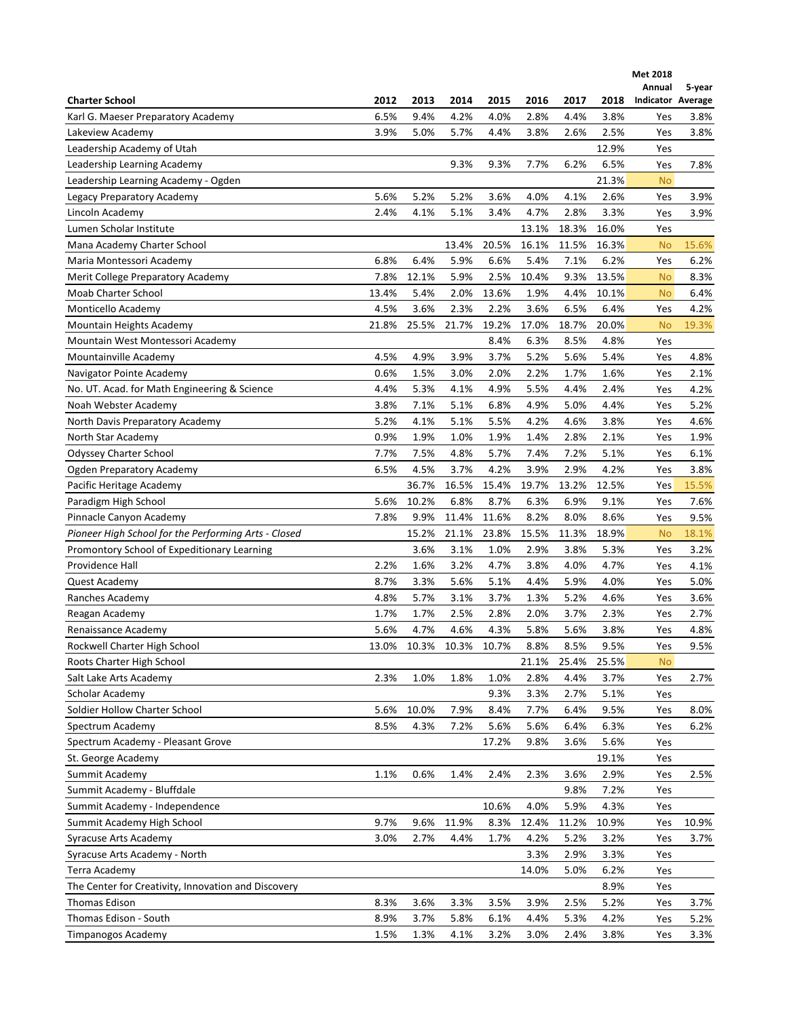|                                                      |       |       |       |       |       |       |       | Met 2018          |        |
|------------------------------------------------------|-------|-------|-------|-------|-------|-------|-------|-------------------|--------|
|                                                      |       |       |       |       |       |       |       | Annual            | 5-year |
| <b>Charter School</b>                                | 2012  | 2013  | 2014  | 2015  | 2016  | 2017  | 2018  | Indicator Average |        |
| Karl G. Maeser Preparatory Academy                   | 6.5%  | 9.4%  | 4.2%  | 4.0%  | 2.8%  | 4.4%  | 3.8%  | Yes               | 3.8%   |
| Lakeview Academy                                     | 3.9%  | 5.0%  | 5.7%  | 4.4%  | 3.8%  | 2.6%  | 2.5%  | Yes               | 3.8%   |
| Leadership Academy of Utah                           |       |       |       |       |       |       | 12.9% | Yes               |        |
| Leadership Learning Academy                          |       |       | 9.3%  | 9.3%  | 7.7%  | 6.2%  | 6.5%  | Yes               | 7.8%   |
| Leadership Learning Academy - Ogden                  |       |       |       |       |       |       | 21.3% | <b>No</b>         |        |
| Legacy Preparatory Academy                           | 5.6%  | 5.2%  | 5.2%  | 3.6%  | 4.0%  | 4.1%  | 2.6%  | Yes               | 3.9%   |
| Lincoln Academy                                      | 2.4%  | 4.1%  | 5.1%  | 3.4%  | 4.7%  | 2.8%  | 3.3%  | Yes               | 3.9%   |
| Lumen Scholar Institute                              |       |       |       |       | 13.1% | 18.3% | 16.0% | Yes               |        |
| Mana Academy Charter School                          |       |       | 13.4% | 20.5% | 16.1% | 11.5% | 16.3% | <b>No</b>         | 15.6%  |
| Maria Montessori Academy                             | 6.8%  | 6.4%  | 5.9%  | 6.6%  | 5.4%  | 7.1%  | 6.2%  | Yes               | 6.2%   |
| Merit College Preparatory Academy                    | 7.8%  | 12.1% | 5.9%  | 2.5%  | 10.4% | 9.3%  | 13.5% | <b>No</b>         | 8.3%   |
| Moab Charter School                                  | 13.4% | 5.4%  | 2.0%  | 13.6% | 1.9%  | 4.4%  | 10.1% | <b>No</b>         | 6.4%   |
| Monticello Academy                                   | 4.5%  | 3.6%  | 2.3%  | 2.2%  | 3.6%  | 6.5%  | 6.4%  | Yes               | 4.2%   |
| Mountain Heights Academy                             | 21.8% | 25.5% | 21.7% | 19.2% | 17.0% | 18.7% | 20.0% | <b>No</b>         | 19.3%  |
| Mountain West Montessori Academy                     |       |       |       | 8.4%  | 6.3%  | 8.5%  | 4.8%  | Yes               |        |
| Mountainville Academy                                | 4.5%  | 4.9%  | 3.9%  | 3.7%  | 5.2%  | 5.6%  | 5.4%  | Yes               | 4.8%   |
| Navigator Pointe Academy                             | 0.6%  | 1.5%  | 3.0%  | 2.0%  | 2.2%  | 1.7%  | 1.6%  | Yes               | 2.1%   |
| No. UT. Acad. for Math Engineering & Science         | 4.4%  | 5.3%  | 4.1%  | 4.9%  | 5.5%  | 4.4%  | 2.4%  | Yes               | 4.2%   |
| Noah Webster Academy                                 | 3.8%  | 7.1%  | 5.1%  | 6.8%  | 4.9%  | 5.0%  | 4.4%  | Yes               | 5.2%   |
| North Davis Preparatory Academy                      | 5.2%  | 4.1%  | 5.1%  | 5.5%  | 4.2%  | 4.6%  | 3.8%  | Yes               | 4.6%   |
| North Star Academy                                   | 0.9%  | 1.9%  | 1.0%  | 1.9%  | 1.4%  | 2.8%  | 2.1%  | Yes               | 1.9%   |
| Odyssey Charter School                               | 7.7%  | 7.5%  | 4.8%  | 5.7%  | 7.4%  | 7.2%  | 5.1%  | Yes               | 6.1%   |
| <b>Ogden Preparatory Academy</b>                     | 6.5%  | 4.5%  | 3.7%  | 4.2%  | 3.9%  | 2.9%  | 4.2%  | Yes               | 3.8%   |
| Pacific Heritage Academy                             |       | 36.7% | 16.5% | 15.4% | 19.7% | 13.2% | 12.5% | Yes               | 15.5%  |
| Paradigm High School                                 | 5.6%  | 10.2% | 6.8%  | 8.7%  | 6.3%  | 6.9%  | 9.1%  | Yes               | 7.6%   |
| Pinnacle Canyon Academy                              | 7.8%  | 9.9%  | 11.4% | 11.6% | 8.2%  | 8.0%  | 8.6%  | Yes               | 9.5%   |
| Pioneer High School for the Performing Arts - Closed |       | 15.2% | 21.1% | 23.8% | 15.5% | 11.3% | 18.9% | <b>No</b>         | 18.1%  |
| Promontory School of Expeditionary Learning          |       | 3.6%  | 3.1%  | 1.0%  | 2.9%  | 3.8%  | 5.3%  | Yes               | 3.2%   |
| Providence Hall                                      | 2.2%  | 1.6%  | 3.2%  | 4.7%  | 3.8%  | 4.0%  | 4.7%  | Yes               | 4.1%   |
| Quest Academy                                        | 8.7%  | 3.3%  | 5.6%  | 5.1%  | 4.4%  | 5.9%  | 4.0%  | Yes               | 5.0%   |
|                                                      | 4.8%  | 5.7%  | 3.1%  | 3.7%  | 1.3%  | 5.2%  | 4.6%  |                   | 3.6%   |
| Ranches Academy                                      |       |       |       |       |       |       |       | Yes               |        |
| Reagan Academy                                       | 1.7%  | 1.7%  | 2.5%  | 2.8%  | 2.0%  | 3.7%  | 2.3%  | Yes               | 2.7%   |
| Renaissance Academy                                  | 5.6%  | 4.7%  | 4.6%  | 4.3%  | 5.8%  | 5.6%  | 3.8%  | Yes               | 4.8%   |
| Rockwell Charter High School                         | 13.0% | 10.3% | 10.3% | 10.7% | 8.8%  | 8.5%  | 9.5%  | Yes               | 9.5%   |
| Roots Charter High School                            |       |       |       |       | 21.1% | 25.4% | 25.5% | <b>No</b>         |        |
| Salt Lake Arts Academy                               | 2.3%  | 1.0%  | 1.8%  | 1.0%  | 2.8%  | 4.4%  | 3.7%  | Yes               | 2.7%   |
| Scholar Academy                                      |       |       |       | 9.3%  | 3.3%  | 2.7%  | 5.1%  | Yes               |        |
| Soldier Hollow Charter School                        | 5.6%  | 10.0% | 7.9%  | 8.4%  | 7.7%  | 6.4%  | 9.5%  | Yes               | 8.0%   |
| Spectrum Academy                                     | 8.5%  | 4.3%  | 7.2%  | 5.6%  | 5.6%  | 6.4%  | 6.3%  | Yes               | 6.2%   |
| Spectrum Academy - Pleasant Grove                    |       |       |       | 17.2% | 9.8%  | 3.6%  | 5.6%  | Yes               |        |
| St. George Academy                                   |       |       |       |       |       |       | 19.1% | Yes               |        |
| Summit Academy                                       | 1.1%  | 0.6%  | 1.4%  | 2.4%  | 2.3%  | 3.6%  | 2.9%  | Yes               | 2.5%   |
| Summit Academy - Bluffdale                           |       |       |       |       |       | 9.8%  | 7.2%  | Yes               |        |
| Summit Academy - Independence                        |       |       |       | 10.6% | 4.0%  | 5.9%  | 4.3%  | Yes               |        |
| Summit Academy High School                           | 9.7%  | 9.6%  | 11.9% | 8.3%  | 12.4% | 11.2% | 10.9% | Yes               | 10.9%  |
| Syracuse Arts Academy                                | 3.0%  | 2.7%  | 4.4%  | 1.7%  | 4.2%  | 5.2%  | 3.2%  | Yes               | 3.7%   |
| Syracuse Arts Academy - North                        |       |       |       |       | 3.3%  | 2.9%  | 3.3%  | Yes               |        |
| Terra Academy                                        |       |       |       |       | 14.0% | 5.0%  | 6.2%  | Yes               |        |
| The Center for Creativity, Innovation and Discovery  |       |       |       |       |       |       | 8.9%  | Yes               |        |
| <b>Thomas Edison</b>                                 | 8.3%  | 3.6%  | 3.3%  | 3.5%  | 3.9%  | 2.5%  | 5.2%  | Yes               | 3.7%   |
| Thomas Edison - South                                | 8.9%  | 3.7%  | 5.8%  | 6.1%  | 4.4%  | 5.3%  | 4.2%  | Yes               | 5.2%   |
| Timpanogos Academy                                   | 1.5%  | 1.3%  | 4.1%  | 3.2%  | 3.0%  | 2.4%  | 3.8%  | Yes               | 3.3%   |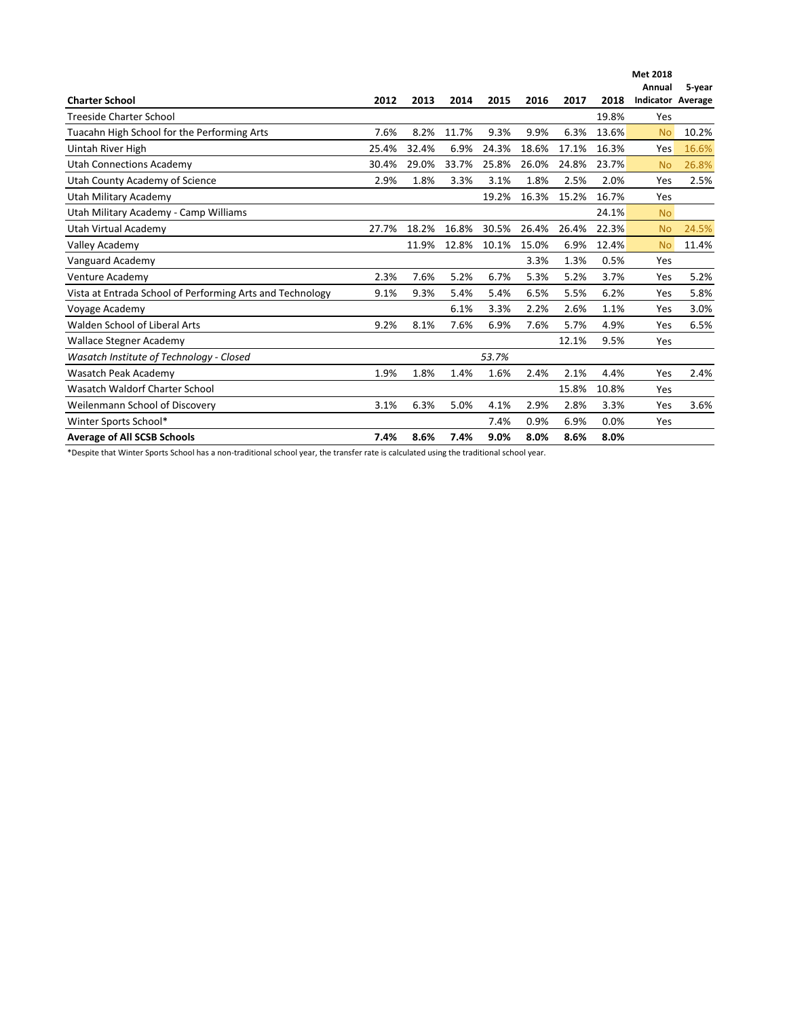|                                                           |       |       |       |       |       |       |       | <b>Met 2018</b><br>Annual | 5-year |
|-----------------------------------------------------------|-------|-------|-------|-------|-------|-------|-------|---------------------------|--------|
| <b>Charter School</b>                                     | 2012  | 2013  | 2014  | 2015  | 2016  | 2017  | 2018  | <b>Indicator Average</b>  |        |
| <b>Treeside Charter School</b>                            |       |       |       |       |       |       | 19.8% | Yes                       |        |
| Tuacahn High School for the Performing Arts               | 7.6%  | 8.2%  | 11.7% | 9.3%  | 9.9%  | 6.3%  | 13.6% | <b>No</b>                 | 10.2%  |
| Uintah River High                                         | 25.4% | 32.4% | 6.9%  | 24.3% | 18.6% | 17.1% | 16.3% | Yes                       | 16.6%  |
| <b>Utah Connections Academy</b>                           | 30.4% | 29.0% | 33.7% | 25.8% | 26.0% | 24.8% | 23.7% | <b>No</b>                 | 26.8%  |
| Utah County Academy of Science                            | 2.9%  | 1.8%  | 3.3%  | 3.1%  | 1.8%  | 2.5%  | 2.0%  | Yes                       | 2.5%   |
| Utah Military Academy                                     |       |       |       | 19.2% | 16.3% | 15.2% | 16.7% | Yes                       |        |
| Utah Military Academy - Camp Williams                     |       |       |       |       |       |       | 24.1% | N <sub>o</sub>            |        |
| Utah Virtual Academy                                      | 27.7% | 18.2% | 16.8% | 30.5% | 26.4% | 26.4% | 22.3% | <b>No</b>                 | 24.5%  |
| <b>Valley Academy</b>                                     |       | 11.9% | 12.8% | 10.1% | 15.0% | 6.9%  | 12.4% | <b>No</b>                 | 11.4%  |
| Vanguard Academy                                          |       |       |       |       | 3.3%  | 1.3%  | 0.5%  | Yes                       |        |
| Venture Academy                                           | 2.3%  | 7.6%  | 5.2%  | 6.7%  | 5.3%  | 5.2%  | 3.7%  | Yes                       | 5.2%   |
| Vista at Entrada School of Performing Arts and Technology | 9.1%  | 9.3%  | 5.4%  | 5.4%  | 6.5%  | 5.5%  | 6.2%  | Yes                       | 5.8%   |
| Voyage Academy                                            |       |       | 6.1%  | 3.3%  | 2.2%  | 2.6%  | 1.1%  | Yes                       | 3.0%   |
| Walden School of Liberal Arts                             | 9.2%  | 8.1%  | 7.6%  | 6.9%  | 7.6%  | 5.7%  | 4.9%  | Yes                       | 6.5%   |
| <b>Wallace Stegner Academy</b>                            |       |       |       |       |       | 12.1% | 9.5%  | Yes                       |        |
| Wasatch Institute of Technology - Closed                  |       |       |       | 53.7% |       |       |       |                           |        |
| Wasatch Peak Academy                                      | 1.9%  | 1.8%  | 1.4%  | 1.6%  | 2.4%  | 2.1%  | 4.4%  | Yes                       | 2.4%   |
| Wasatch Waldorf Charter School                            |       |       |       |       |       | 15.8% | 10.8% | Yes                       |        |
| Weilenmann School of Discovery                            | 3.1%  | 6.3%  | 5.0%  | 4.1%  | 2.9%  | 2.8%  | 3.3%  | Yes                       | 3.6%   |
| Winter Sports School*                                     |       |       |       | 7.4%  | 0.9%  | 6.9%  | 0.0%  | Yes                       |        |
| <b>Average of All SCSB Schools</b>                        | 7.4%  | 8.6%  | 7.4%  | 9.0%  | 8.0%  | 8.6%  | 8.0%  |                           |        |

\*Despite that Winter Sports School has a non-traditional school year, the transfer rate is calculated using the traditional school year.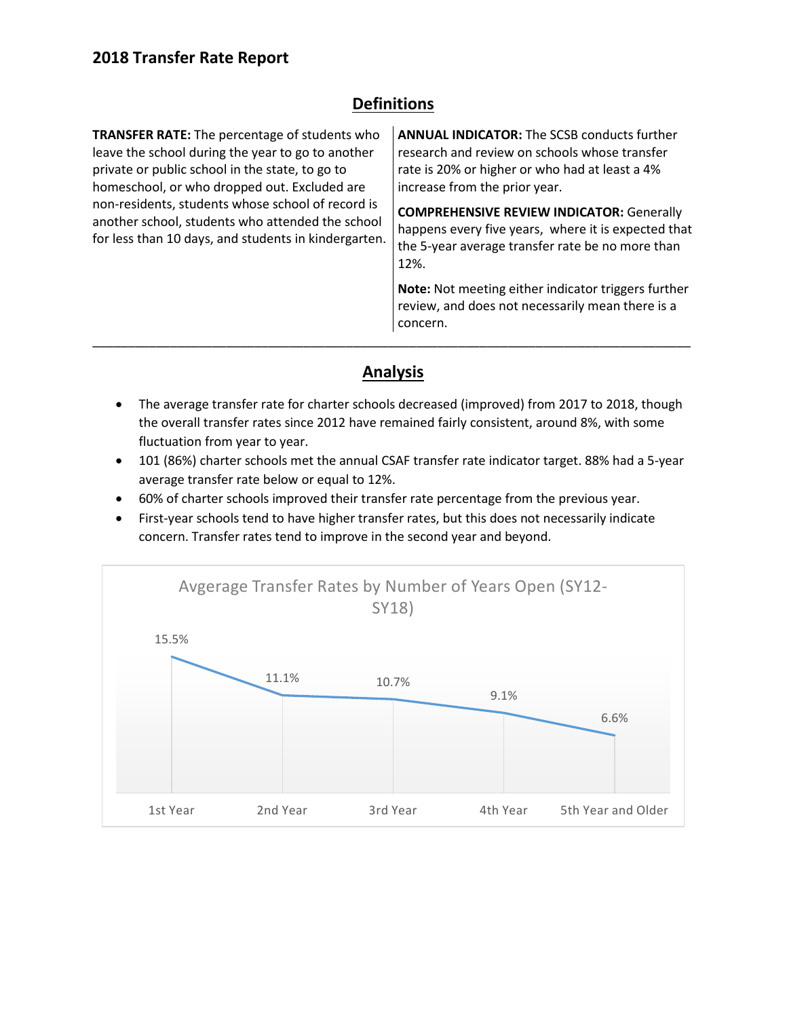## **Definitions**

| <b>TRANSFER RATE:</b> The percentage of students who<br>leave the school during the year to go to another<br>private or public school in the state, to go to<br>homeschool, or who dropped out. Excluded are<br>non-residents, students whose school of record is<br>another school, students who attended the school<br>for less than 10 days, and students in kindergarten. | <b>ANNUAL INDICATOR:</b> The SCSB conducts further<br>research and review on schools whose transfer<br>rate is 20% or higher or who had at least a 4%<br>increase from the prior year. |  |  |  |  |  |
|-------------------------------------------------------------------------------------------------------------------------------------------------------------------------------------------------------------------------------------------------------------------------------------------------------------------------------------------------------------------------------|----------------------------------------------------------------------------------------------------------------------------------------------------------------------------------------|--|--|--|--|--|
|                                                                                                                                                                                                                                                                                                                                                                               | <b>COMPREHENSIVE REVIEW INDICATOR: Generally</b><br>happens every five years, where it is expected that<br>the 5-year average transfer rate be no more than<br>12%.                    |  |  |  |  |  |
|                                                                                                                                                                                                                                                                                                                                                                               | <b>Note:</b> Not meeting either indicator triggers further<br>review, and does not necessarily mean there is a<br>concern.                                                             |  |  |  |  |  |

## **Analysis**

- The average transfer rate for charter schools decreased (improved) from 2017 to 2018, though the overall transfer rates since 2012 have remained fairly consistent, around 8%, with some fluctuation from year to year.
- 101 (86%) charter schools met the annual CSAF transfer rate indicator target. 88% had a 5-year average transfer rate below or equal to 12%.
- 60% of charter schools improved their transfer rate percentage from the previous year.
- First-year schools tend to have higher transfer rates, but this does not necessarily indicate concern. Transfer rates tend to improve in the second year and beyond.